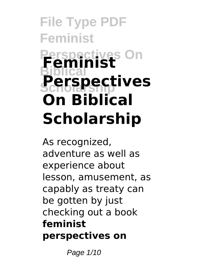# **File Type PDF Feminist Perspectives On Feminist Biblical Scholarship Perspectives On Biblical Scholarship**

As recognized, adventure as well as experience about lesson, amusement, as capably as treaty can be gotten by just checking out a book **feminist perspectives on**

Page 1/10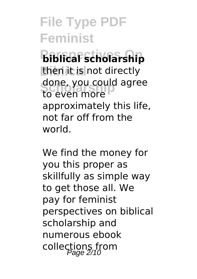**Perspectives On biblical scholarship** then it is not directly done, you could agree<br>to even more to even more approximately this life, not far off from the world.

We find the money for you this proper as skillfully as simple way to get those all. We pay for feminist perspectives on biblical scholarship and numerous ebook collections from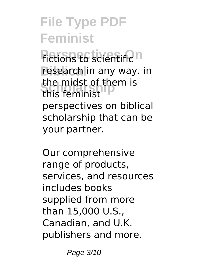**Fictions to scientific n** research in any way. in **Scholarship** this feminist the midst of them is perspectives on biblical scholarship that can be your partner.

Our comprehensive range of products, services, and resources includes books supplied from more than 15,000 U.S., Canadian, and U.K. publishers and more.

Page 3/10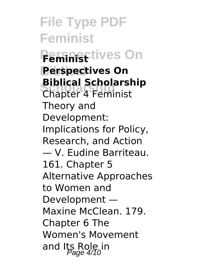**File Type PDF Feminist Peministives On Biblical Perspectives On Biblical Scholarship**<br>Chapter 4 Feminist Chapter 4 Feminist Theory and Development: Implications for Policy, Research, and Action — V. Eudine Barriteau. 161. Chapter 5 Alternative Approaches to Women and Development — Maxine McClean. 179. Chapter 6 The Women's Movement and Its Role in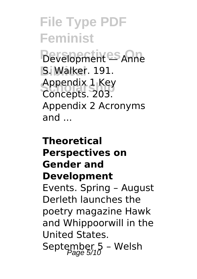**Perspectives On** Development — Anne **Biblical** S. Walker. 191. **Scholarship** Concepts. 203. Appendix 1 Key Appendix 2 Acronyms and ...

#### **Theoretical Perspectives on Gender and Development** Events. Spring – August Derleth launches the poetry magazine Hawk and Whippoorwill in the United States. September  $5 -$  Welsh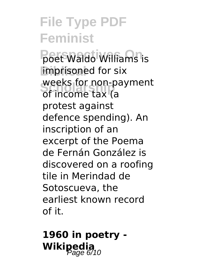**Poet Waldo Williams is imprisoned** for six **Schoolarship**<br>
of income tax (a weeks for non-payment protest against defence spending). An inscription of an excerpt of the Poema de Fernán González is discovered on a roofing tile in Merindad de Sotoscueva, the earliest known record of it.

**1960 in poetry - Wikipedia**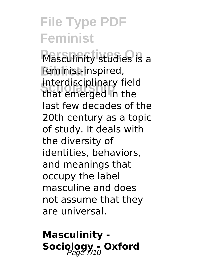**Masculinity studies is a** feminist-inspired, **Scholarship** that emerged in the interdisciplinary field last few decades of the 20th century as a topic of study. It deals with the diversity of identities, behaviors, and meanings that occupy the label masculine and does not assume that they are universal.

**Masculinity -** Sociology - Oxford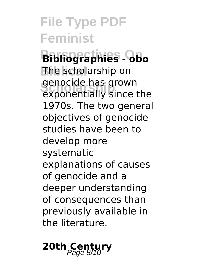**Perspectives On Bibliographies - obo Biblical** The scholarship on genocide has grown<br>exponentially since the genocide has grown 1970s. The two general objectives of genocide studies have been to develop more systematic explanations of causes of genocide and a deeper understanding of consequences than previously available in the literature.

# 20th Century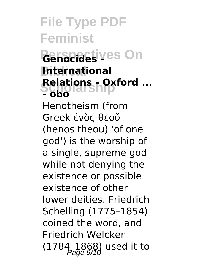#### *<u>Genocides</u>* yes On **Biblical International Relations - Oxford ...**<br>Scholarship **- obo**

Henotheism (from Greek ἑνὸς θεοῦ (henos theou) 'of one god') is the worship of a single, supreme god while not denying the existence or possible existence of other lower deities. Friedrich Schelling (1775–1854) coined the word, and Friedrich Welcker  $(1784 - 1868)$  used it to